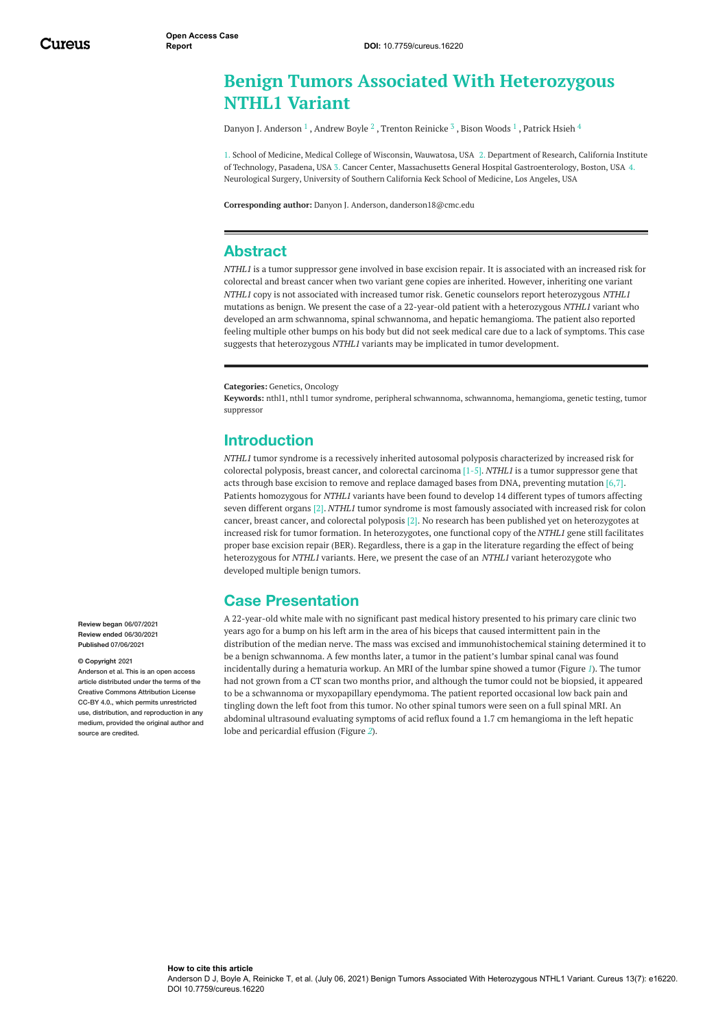# **Benign Tumors Associated With Heterozygous NTHL1 Variant**

Danyon J. [Anderson](https://www.cureus.com/users/220365-danyon-j-anderson)  $^1$  , [Andrew](https://www.cureus.com/users/244974-andrew-boyle) Boyle  $^2$  , Trenton [Reinicke](https://www.cureus.com/users/244393-trenton-reinicke)  $^3$  , Bison [Woods](https://www.cureus.com/users/244975-bison-woods)  $^1$  , [Patrick](https://www.cureus.com/users/247647-patrick-hsieh) Hsieh  $^4$ 

1. School of Medicine, Medical College of Wisconsin, Wauwatosa, USA 2. Department of Research, California Institute of Technology, Pasadena, USA 3. Cancer Center, Massachusetts General Hospital Gastroenterology, Boston, USA 4. Neurological Surgery, University of Southern California Keck School of Medicine, Los Angeles, USA

**Corresponding author:** Danyon J. Anderson, danderson18@cmc.edu

## **Abstract**

*NTHL1* is a tumor suppressor gene involved in base excision repair. It is associated with an increased risk for colorectal and breast cancer when two variant gene copies are inherited. However, inheriting one variant *NTHL1* copy is not associated with increased tumor risk. Genetic counselors report heterozygous *NTHL1* mutations as benign. We present the case of a 22-year-old patient with a heterozygous *NTHL1* variant who developed an arm schwannoma, spinal schwannoma, and hepatic hemangioma. The patient also reported feeling multiple other bumps on his body but did not seek medical care due to a lack of symptoms. This case suggests that heterozygous *NTHL1* variants may be implicated in tumor development.

**Categories:** Genetics, Oncology

**Keywords:** nthl1, nthl1 tumor syndrome, peripheral schwannoma, schwannoma, hemangioma, genetic testing, tumor suppressor

### **Introduction**

*NTHL1* tumor syndrome is a recessively inherited autosomal polyposis characterized by increased risk for colorectal polyposis, breast cancer, and colorectal carcinoma [1-5]. *NTHL1* is a tumor suppressor gene that acts through base excision to remove and replace damaged bases from DNA, preventing mutation [6,7]. Patients homozygous for *NTHL1* variants have been found to develop 14 different types of tumors affecting seven different organs [2]. *NTHL1* tumor syndrome is most famously associated with increased risk for colon cancer, breast cancer, and colorectal polyposis [2]. No research has been published yet on heterozygotes at increased risk for tumor formation. In heterozygotes, one functional copy of the *NTHL1* gene still facilitates proper base excision repair (BER). Regardless, there is a gap in the literature regarding the effect of being heterozygous for *NTHL1* variants. Here, we present the case of an *NTHL1* variant heterozygote who developed multiple benign tumors.

## **Case Presentation**

A 22-year-old white male with no significant past medical history presented to his primary care clinic two years ago for a bump on his left arm in the area of his biceps that caused intermittent pain in the distribution of the median nerve. The mass was excised and immunohistochemical staining determined it to be a benign schwannoma. A few months later, a tumor in the patient's lumbar spinal canal was found incidentally during a hematuria workup. An MRI of the lumbar spine showed a tumor (Figure *[1](#page-1-0)*). The tumor had not grown from a CT scan two months prior, and although the tumor could not be biopsied, it appeared to be a schwannoma or myxopapillary ependymoma. The patient reported occasional low back pain and tingling down the left foot from this tumor. No other spinal tumors were seen on a full spinal MRI. An abdominal ultrasound evaluating symptoms of acid reflux found a 1.7 cm hemangioma in the left hepatic lobe and pericardial effusion (Figure *[2](#page-2-0)*).

**Review began** 06/07/2021 **Review ended** 06/30/2021 **Published** 07/06/2021

#### **© Copyright** 2021

Anderson et al. This is an open access article distributed under the terms of the Creative Commons Attribution License CC-BY 4.0., which permits unrestricted use, distribution, and reproduction in any medium, provided the original author and source are credited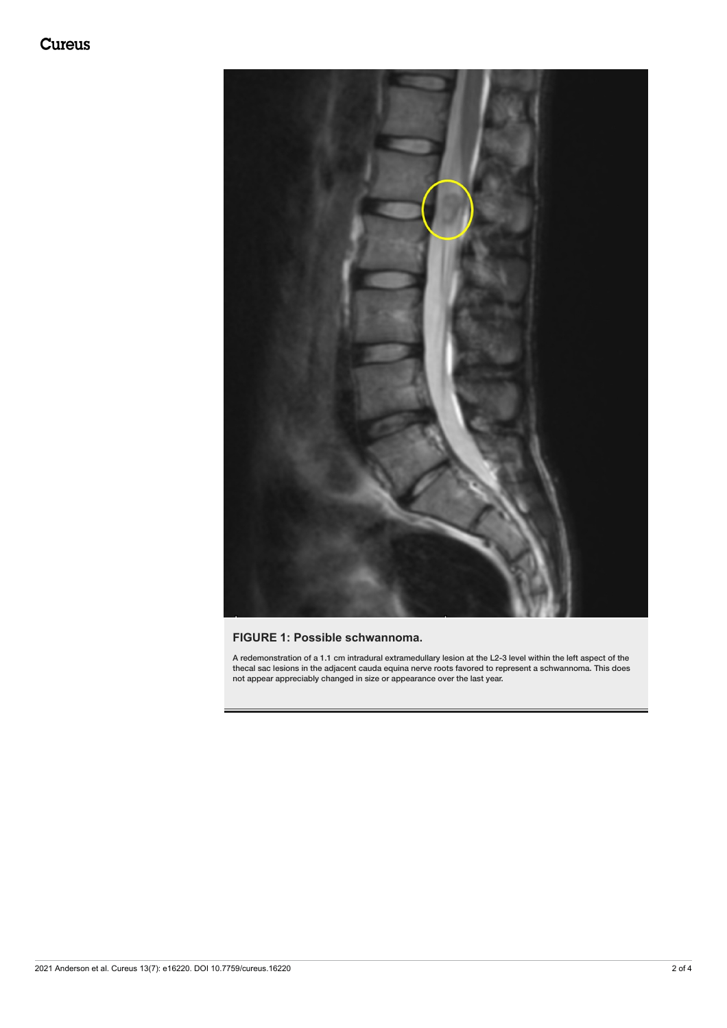<span id="page-1-0"></span>

### **FIGURE 1: Possible schwannoma.**

A redemonstration of a 1.1 cm intradural extramedullary lesion at the L2-3 level within the left aspect of the thecal sac lesions in the adjacent cauda equina nerve roots favored to represent a schwannoma. This does not appear appreciably changed in size or appearance over the last year.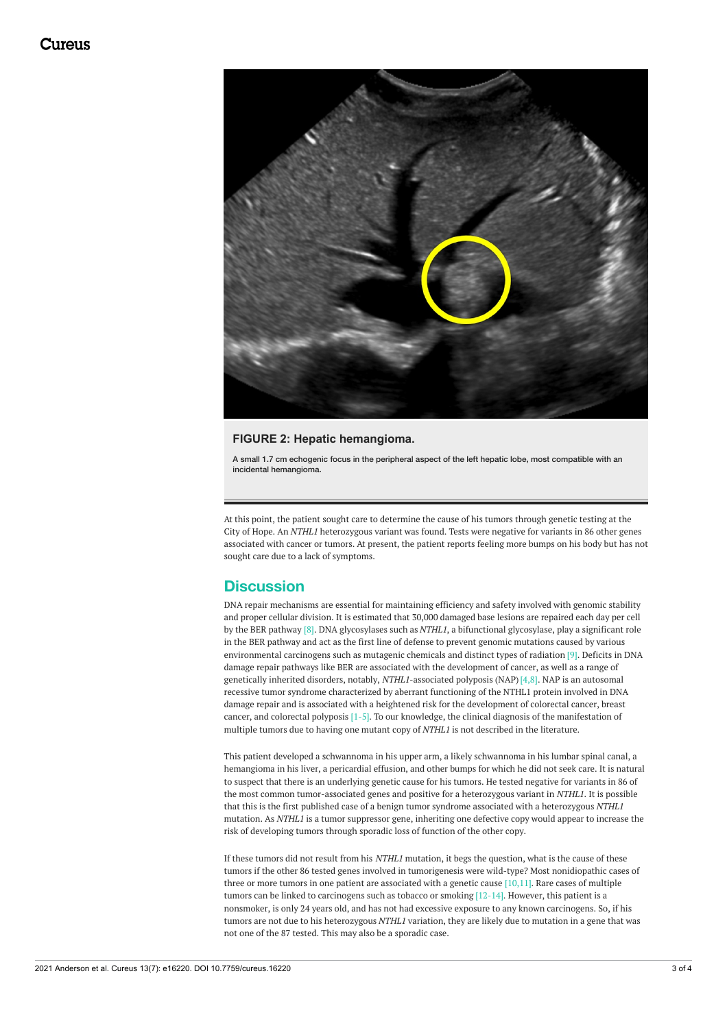<span id="page-2-0"></span>

#### **FIGURE 2: Hepatic hemangioma.**

A small 1.7 cm echogenic focus in the peripheral aspect of the left hepatic lobe, most compatible with an incidental hemangioma.

At this point, the patient sought care to determine the cause of his tumors through genetic testing at the City of Hope. An *NTHL1* heterozygous variant was found. Tests were negative for variants in 86 other genes associated with cancer or tumors. At present, the patient reports feeling more bumps on his body but has not sought care due to a lack of symptoms.

## **Discussion**

DNA repair mechanisms are essential for maintaining efficiency and safety involved with genomic stability and proper cellular division. It is estimated that 30,000 damaged base lesions are repaired each day per cell by the BER pathway [8]. DNA glycosylases such as *NTHL1*, a bifunctional glycosylase, play a significant role in the BER pathway and act as the first line of defense to prevent genomic mutations caused by various environmental carcinogens such as mutagenic chemicals and distinct types of radiation [9]. Deficits in DNA damage repair pathways like BER are associated with the development of cancer, as well as a range of genetically inherited disorders, notably, *NTHL1*-associated polyposis (NAP)[4,8]. NAP is an autosomal recessive tumor syndrome characterized by aberrant functioning of the NTHL1 protein involved in DNA damage repair and is associated with a heightened risk for the development of colorectal cancer, breast cancer, and colorectal polyposis [1-5]. To our knowledge, the clinical diagnosis of the manifestation of multiple tumors due to having one mutant copy of *NTHL1* is not described in the literature.

This patient developed a schwannoma in his upper arm, a likely schwannoma in his lumbar spinal canal, a hemangioma in his liver, a pericardial effusion, and other bumps for which he did not seek care. It is natural to suspect that there is an underlying genetic cause for his tumors. He tested negative for variants in 86 of the most common tumor-associated genes and positive for a heterozygous variant in *NTHL1*. It is possible that this is the first published case of a benign tumor syndrome associated with a heterozygous *NTHL1* mutation. As *NTHL1* is a tumor suppressor gene, inheriting one defective copy would appear to increase the risk of developing tumors through sporadic loss of function of the other copy.

If these tumors did not result from his *NTHL1* mutation, it begs the question, what is the cause of these tumors if the other 86 tested genes involved in tumorigenesis were wild-type? Most nonidiopathic cases of three or more tumors in one patient are associated with a genetic cause  $[10,11]$ . Rare cases of multiple tumors can be linked to carcinogens such as tobacco or smoking [12-14]. However, this patient is a nonsmoker, is only 24 years old, and has not had excessive exposure to any known carcinogens. So, if his tumors are not due to his heterozygous *NTHL1* variation, they are likely due to mutation in a gene that was not one of the 87 tested. This may also be a sporadic case.